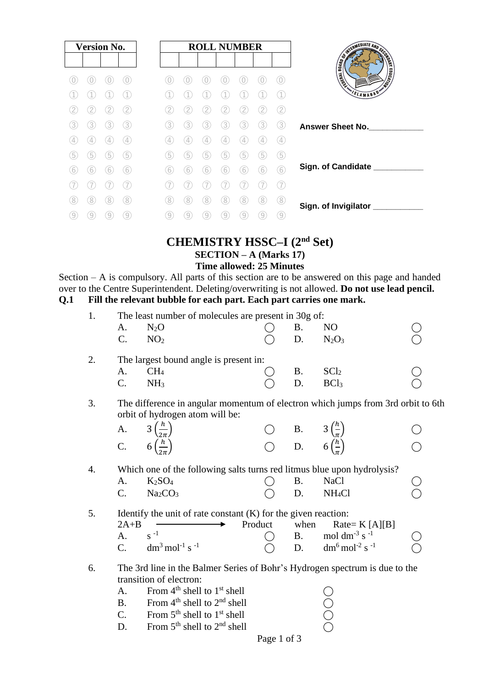| <b>Version No.</b> |                  |   |                   |  |
|--------------------|------------------|---|-------------------|--|
|                    |                  |   |                   |  |
|                    |                  |   |                   |  |
|                    |                  |   |                   |  |
|                    |                  |   |                   |  |
| 3                  | 3.               | 3 | (3)               |  |
| 4                  | $\frac{1}{2}$    | 4 | $\left( 4\right)$ |  |
| 5                  | $\left[5\right]$ | 5 | 5                 |  |
| 6                  | 6                | 6 | (6)               |  |
|                    |                  |   |                   |  |
| 8                  | 8                | 8 | 8                 |  |
| 9                  | 9                |   | 9                 |  |

#### **CHEMISTRY HSSC–I (2nd Set) SECTION – A (Marks 17) Time allowed: 25 Minutes**

Section – A is compulsory. All parts of this section are to be answered on this page and handed over to the Centre Superintendent. Deleting/overwriting is not allowed. **Do not use lead pencil. Q.1 Fill the relevant bubble for each part. Each part carries one mark.** 

| 1. | A.<br>$\mathcal{C}$ .                                                                                            | The least number of molecules are present in 30g of:<br>$N_2O$<br>NO <sub>2</sub>                                   |  | <b>B.</b><br>D.                                                                            | NO<br>$N_2O_3$                                    |  |  |  |  |  |  |
|----|------------------------------------------------------------------------------------------------------------------|---------------------------------------------------------------------------------------------------------------------|--|--------------------------------------------------------------------------------------------|---------------------------------------------------|--|--|--|--|--|--|
| 2. |                                                                                                                  | The largest bound angle is present in:                                                                              |  |                                                                                            |                                                   |  |  |  |  |  |  |
|    | A.                                                                                                               | CH <sub>4</sub>                                                                                                     |  | <b>B.</b>                                                                                  | SCl <sub>2</sub>                                  |  |  |  |  |  |  |
|    | C.                                                                                                               | NH <sub>3</sub>                                                                                                     |  | D.                                                                                         | BCl <sub>3</sub>                                  |  |  |  |  |  |  |
| 3. |                                                                                                                  | The difference in angular momentum of electron which jumps from 3rd orbit to 6th<br>orbit of hydrogen atom will be: |  |                                                                                            |                                                   |  |  |  |  |  |  |
|    | A.                                                                                                               | $3\left(\frac{h}{2\pi}\right)$                                                                                      |  |                                                                                            |                                                   |  |  |  |  |  |  |
|    |                                                                                                                  | C. $6\left(\frac{h}{25}\right)$                                                                                     |  | $\bigcirc$ B. $3\left(\frac{h}{\pi}\right)$<br>$\bigcirc$ D. $6\left(\frac{h}{\pi}\right)$ |                                                   |  |  |  |  |  |  |
| 4. |                                                                                                                  | Which one of the following salts turns red litmus blue upon hydrolysis?                                             |  |                                                                                            |                                                   |  |  |  |  |  |  |
|    | A.                                                                                                               | K <sub>2</sub> SO <sub>4</sub>                                                                                      |  | <b>B.</b>                                                                                  | <b>NaCl</b>                                       |  |  |  |  |  |  |
|    | C.                                                                                                               | Na <sub>2</sub> CO <sub>3</sub>                                                                                     |  | D.                                                                                         | NH <sub>4</sub> Cl                                |  |  |  |  |  |  |
| 5. | Identify the unit of rate constant $(K)$ for the given reaction:<br>$2A+B$<br>Product<br>when<br>$Rate= K[A][B]$ |                                                                                                                     |  |                                                                                            |                                                   |  |  |  |  |  |  |
|    | A.                                                                                                               | $S^{-1}$                                                                                                            |  | <b>B.</b>                                                                                  | mol dm <sup>-3</sup> s <sup>-1</sup>              |  |  |  |  |  |  |
|    | $\mathcal{C}$ .                                                                                                  | $dm3$ mol <sup>-1</sup> s <sup>-1</sup>                                                                             |  | D.                                                                                         | dm <sup>6</sup> mol <sup>-2</sup> s <sup>-1</sup> |  |  |  |  |  |  |
| 6. |                                                                                                                  | The 3rd line in the Balmer Series of Bohr's Hydrogen spectrum is due to the                                         |  |                                                                                            |                                                   |  |  |  |  |  |  |
|    |                                                                                                                  | transition of electron:                                                                                             |  |                                                                                            |                                                   |  |  |  |  |  |  |
|    | A.                                                                                                               | From $4th$ shell to $1st$ shell                                                                                     |  |                                                                                            |                                                   |  |  |  |  |  |  |
|    | <b>B.</b>                                                                                                        | From 4 <sup>th</sup> shell to 2 <sup>nd</sup> shell                                                                 |  |                                                                                            |                                                   |  |  |  |  |  |  |
|    | $C_{\cdot}$                                                                                                      | From 5 <sup>th</sup> shell to 1 <sup>st</sup> shell                                                                 |  |                                                                                            |                                                   |  |  |  |  |  |  |
|    | D.                                                                                                               | From $5th$ shell to $2nd$ shell                                                                                     |  |                                                                                            |                                                   |  |  |  |  |  |  |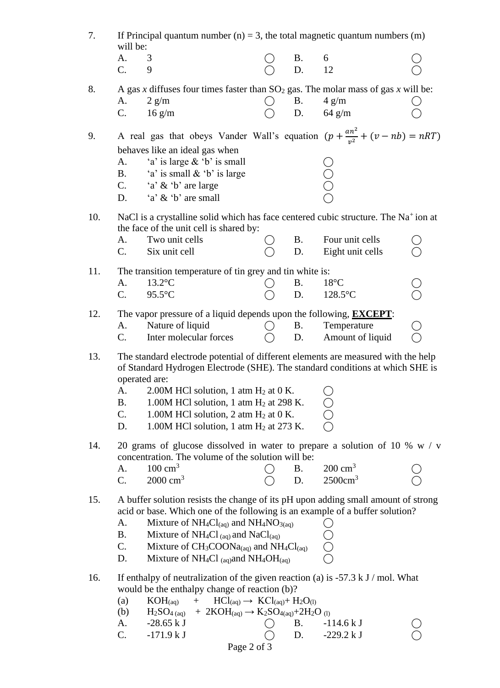| 7.  | If Principal quantum number (n) = 3, the total magnetic quantum numbers (m)<br>will be:                                                                                                                                                                                                                                                                                                                                                             |                 |                                     |  |  |  |  |  |  |  |
|-----|-----------------------------------------------------------------------------------------------------------------------------------------------------------------------------------------------------------------------------------------------------------------------------------------------------------------------------------------------------------------------------------------------------------------------------------------------------|-----------------|-------------------------------------|--|--|--|--|--|--|--|
|     | 3<br>А.<br>C.<br>9                                                                                                                                                                                                                                                                                                                                                                                                                                  | Β.<br>D.        | 6<br>12                             |  |  |  |  |  |  |  |
| 8.  | A gas x diffuses four times faster than $SO_2$ gas. The molar mass of gas x will be:<br>$2 \text{ g/m}$<br>A.<br>C.<br>$16 \text{ g/m}$                                                                                                                                                                                                                                                                                                             | <b>B.</b><br>D. | $4 \text{ g/m}$<br>$64 \text{ g/m}$ |  |  |  |  |  |  |  |
| 9.  | A real gas that obeys Vander Wall's equation $(p + \frac{an^2}{v^2} + (v - nb) = nRT)$<br>behaves like an ideal gas when<br>'a' is large & 'b' is small<br>А.<br>'a' is small & 'b' is large<br><b>B.</b><br>'a' & 'b' are large<br>C.<br>'a' & 'b' are small<br>D.                                                                                                                                                                                 |                 |                                     |  |  |  |  |  |  |  |
| 10. | NaCl is a crystalline solid which has face centered cubic structure. The Na <sup>+</sup> ion at<br>the face of the unit cell is shared by:<br>Two unit cells<br>А.<br>Six unit cell<br>$\mathbf{C}$ .                                                                                                                                                                                                                                               | Β.<br>D.        | Four unit cells<br>Eight unit cells |  |  |  |  |  |  |  |
| 11. | The transition temperature of tin grey and tin white is:<br>$13.2$ °C<br>A.<br>$C_{\cdot}$<br>$95.5$ °C                                                                                                                                                                                                                                                                                                                                             | <b>B.</b><br>D. | $18^{\circ}$ C<br>$128.5$ °C        |  |  |  |  |  |  |  |
| 12. | The vapor pressure of a liquid depends upon the following, <b>EXCEPT</b> :<br>Nature of liquid<br>A.<br>Inter molecular forces<br>$\mathbf{C}$ .                                                                                                                                                                                                                                                                                                    | <b>B.</b><br>D. | Temperature<br>Amount of liquid     |  |  |  |  |  |  |  |
| 13. | The standard electrode potential of different elements are measured with the help<br>of Standard Hydrogen Electrode (SHE). The standard conditions at which SHE is<br>operated are:<br>2.00M HCl solution, 1 atm H <sub>2</sub> at 0 K.<br>A.<br><b>B.</b><br>1.00M HCl solution, 1 atm $H_2$ at 298 K.<br>C.<br>1.00M HCl solution, 2 atm $H_2$ at 0 K.<br>1.00M HCl solution, 1 atm H <sub>2</sub> at 273 K.<br>D.                                |                 |                                     |  |  |  |  |  |  |  |
| 14. | 20 grams of glucose dissolved in water to prepare a solution of 10 % $w / v$<br>concentration. The volume of the solution will be:<br>$200 \text{ cm}^3$<br>$100 \text{ cm}^3$<br>A.<br><b>B.</b><br>$2500 \text{cm}^3$<br>$2000 \text{ cm}^3$<br>C.<br>D.                                                                                                                                                                                          |                 |                                     |  |  |  |  |  |  |  |
| 15. | A buffer solution resists the change of its pH upon adding small amount of strong<br>acid or base. Which one of the following is an example of a buffer solution?<br>A.<br>Mixture of $NH_4Cl_{(aq)}$ and $NH_4NO_{3(aq)}$<br><b>B.</b><br>Mixture of NH <sub>4</sub> Cl <sub>(aq)</sub> and NaCl <sub>(aq)</sub><br>Mixture of $CH_3COONa_{(aq)}$ and $NH_4Cl_{(aq)}$<br>C.<br>Mixture of NH <sub>4</sub> Cl (aq) and NH <sub>4</sub> OH(aq)<br>D. |                 |                                     |  |  |  |  |  |  |  |
| 16. | If enthalpy of neutralization of the given reaction (a) is -57.3 k J / mol. What<br>would be the enthalpy change of reaction (b)?<br>$HCl(aq) \rightarrow KCl(aq) + H2O(l)$<br>$KOH_{(aq)}$<br>$+$<br>(a)<br>+ 2KOH(aq) $\rightarrow$ K <sub>2</sub> SO <sub>4(aq)</sub> +2H <sub>2</sub> O <sub>(l)</sub><br>$H2SO4$ (aq)<br>(b)<br>$-28.65 kJ$<br>А.<br>$-171.9 kJ$<br>C.<br>Page 2 of 3                                                          | B.<br>D.        | $-114.6 kJ$<br>$-229.2 kJ$          |  |  |  |  |  |  |  |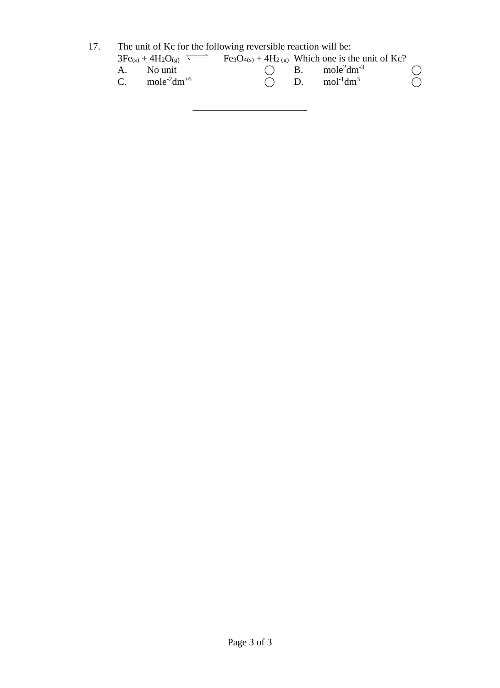17. The unit of Kc for the following reversible reaction will be:

| $3Fe(s) + 4H_2O(g)$               | $Fe3O4(s) + 4H2(g)$ Which one is the unit of Kc? |            |
|-----------------------------------|--------------------------------------------------|------------|
| A. No unit                        | $\bigcap$ B. mole <sup>2</sup> dm <sup>-3</sup>  |            |
| C. $\text{mole}^2 \text{dm}^{+6}$ | $\bigcap$ D. mol <sup>-1</sup> dm <sup>3</sup>   | $\bigcirc$ |

\_\_\_\_\_\_\_\_\_\_\_\_\_\_\_\_\_\_\_\_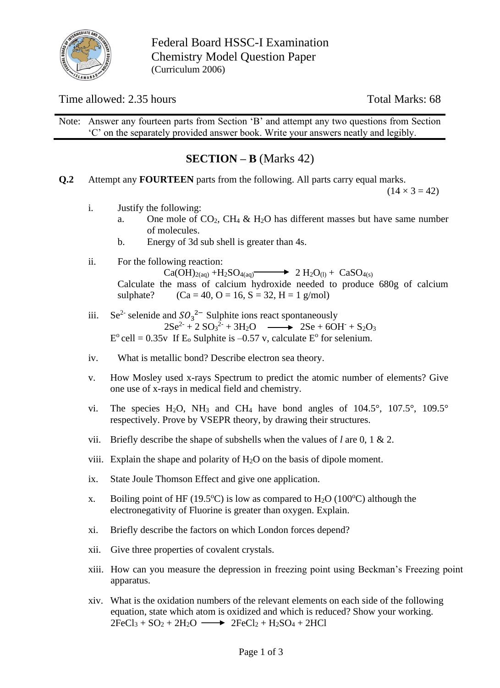

Federal Board HSSC-I Examination Chemistry Model Question Paper (Curriculum 2006)

### Time allowed: 2.35 hours Total Marks: 68

Note: Answer any fourteen parts from Section 'B' and attempt any two questions from Section 'C' on the separately provided answer book. Write your answers neatly and legibly.

## **SECTION – B** (Marks 42)

**Q.2** Attempt any **FOURTEEN** parts from the following. All parts carry equal marks.

 $(14 \times 3 = 42)$ 

- i. Justify the following:
	- a. One mole of  $CO<sub>2</sub>$ , CH<sub>4</sub> & H<sub>2</sub>O has different masses but have same number of molecules.
	- b. Energy of 3d sub shell is greater than 4s.
- ii. For the following reaction:

 $Ca(OH)_{2(aq)} + H_2SO_{4(aq)} \longrightarrow 2 H_2O_{(1)} + CaSO_{4(s)}$ Calculate the mass of calcium hydroxide needed to produce 680g of calcium sulphate? (Ca = 40, O = 16, S = 32, H = 1 g/mol)

- iii. Se<sup>2-</sup> selenide and  $SO_3^2$ <sup>-</sup> Sulphite ions react spontaneously  $2Se^{2} + 2 SO<sub>3</sub><sup>2</sup> + 3H<sub>2</sub>O \longrightarrow 2Se + 6OH + S<sub>2</sub>O<sub>3</sub>$  $E^{\circ}$  cell = 0.35v If  $E_{\circ}$  Sulphite is -0.57 v, calculate  $E^{\circ}$  for selenium.
- iv. What is metallic bond? Describe electron sea theory.
- v. How Mosley used x-rays Spectrum to predict the atomic number of elements? Give one use of x-rays in medical field and chemistry.
- vi. The species H<sub>2</sub>O, NH<sub>3</sub> and CH<sub>4</sub> have bond angles of  $104.5^{\circ}$ ,  $107.5^{\circ}$ ,  $109.5^{\circ}$ respectively. Prove by VSEPR theory, by drawing their structures.
- vii. Briefly describe the shape of subshells when the values of *l* are 0, 1 & 2.
- viii. Explain the shape and polarity of  $H_2O$  on the basis of dipole moment.
- ix. State Joule Thomson Effect and give one application.
- x. Boiling point of HF (19.5°C) is low as compared to H<sub>2</sub>O (100°C) although the electronegativity of Fluorine is greater than oxygen. Explain.
- xi. Briefly describe the factors on which London forces depend?
- xii. Give three properties of covalent crystals.
- xiii. How can you measure the depression in freezing point using Beckman's Freezing point apparatus.
- xiv. What is the oxidation numbers of the relevant elements on each side of the following equation, state which atom is oxidized and which is reduced? Show your working.  $2FeCl<sub>3</sub> + SO<sub>2</sub> + 2H<sub>2</sub>O \longrightarrow 2FeCl<sub>2</sub> + H<sub>2</sub>SO<sub>4</sub> + 2HCl$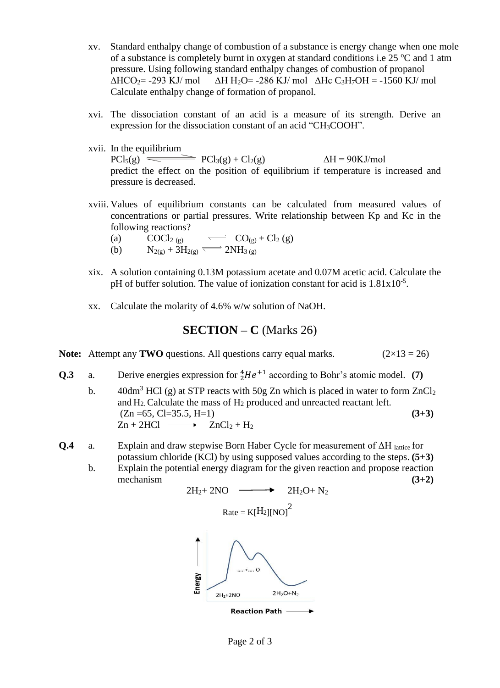- xv. Standard enthalpy change of combustion of a substance is energy change when one mole of a substance is completely burnt in oxygen at standard conditions i.e  $25 \degree C$  and 1 atm pressure. Using following standard enthalpy changes of combustion of propanol  $\triangle HCO_2$  = -293 KJ/ mol  $\triangle H H_2O = 286$  KJ/ mol  $\triangle Hc$  C<sub>3</sub>H<sub>7</sub>OH = -1560 KJ/ mol Calculate enthalpy change of formation of propanol.
- xvi. The dissociation constant of an acid is a measure of its strength. Derive an expression for the dissociation constant of an acid "CH3COOH".
- xvii. In the equilibrium

 $PCl<sub>5</sub>(g) \equiv PCl<sub>3</sub>(g) + Cl<sub>2</sub>(g)$   $\Delta H = 90KJ/mol$ predict the effect on the position of equilibrium if temperature is increased and pressure is decreased.

- xviii. Values of equilibrium constants can be calculated from measured values of concentrations or partial pressures. Write relationship between Kp and Kc in the following reactions?
	- (a)  $COCl_{2(g)} \qquad \overline{CO_{(g)}} + Cl_{2(g)}$
	- (b)  $N_{2(g)} + 3H_{2(g)} \rightleftharpoons 2NH_{3(g)}$
- xix. A solution containing 0.13M potassium acetate and 0.07M acetic acid. Calculate the pH of buffer solution. The value of ionization constant for acid is  $1.81 \times 10^{-5}$ .
- xx. Calculate the molarity of 4.6% w/w solution of NaOH.

**SECTION – C** (Marks 26)

**Note:** Attempt any **TWO** questions. All questions carry equal marks.  $(2 \times 13 = 26)$ 

**Q.3** a. Derive energies expression for  ${}_{2}^{4}He^{+1}$  according to Bohr's atomic model. (7)

b.  $40dm^3$  HCl (g) at STP reacts with 50g Zn which is placed in water to form  $ZnCl_2$ and H2. Calculate the mass of H<sup>2</sup> produced and unreacted reactant left.  $(Zn = 65, Cl = 35.5, H=1)$  (3+3)  $Zn + 2HCl \longrightarrow ZnCl_2 + H_2$ 

- **Q.4** a. Explain and draw stepwise Born Haber Cycle for measurement of ΔH lattice for potassium chloride (KCl) by using supposed values according to the steps. **(5+3)**
	- b. Explain the potential energy diagram for the given reaction and propose reaction mechanism **(3+2)**

$$
2H_2 + 2NO \longrightarrow 2H_2O + N_2
$$
  
\n
$$
Rate = K[H_2][NO]^2
$$
  
\n
$$
Rate = K[H_2][NO]^2
$$
  
\n
$$
Rate = K[H_2][NO]^2
$$
  
\n
$$
Rate = K[H_2][NO]^2
$$
  
\n
$$
Rate = K[H_2][NO]^2
$$
  
\n
$$
Rate = K[H_2][NO]^2
$$
  
\n
$$
Rate = K[H_2][NO]^2
$$
  
\n
$$
Areaation Path \longrightarrow
$$

Page 2 of 3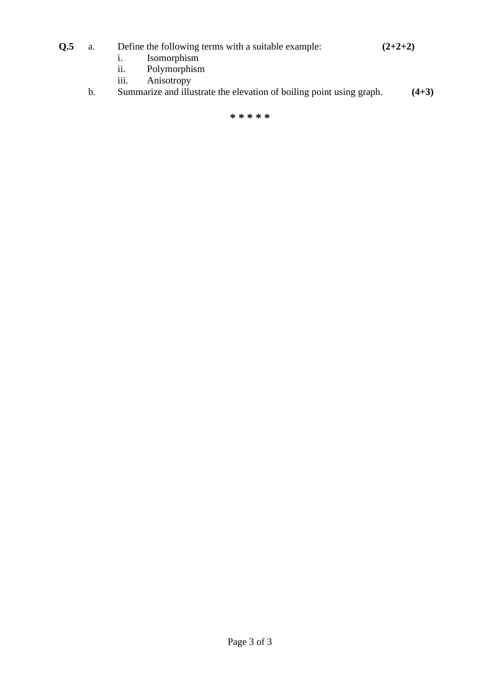### **Q.5** a. Define the following terms with a suitable example: **(2+2+2)**

- i. Isomorphism
- ii. Polymorphism
- iii. Anisotropy
- b. Summarize and illustrate the elevation of boiling point using graph. **(4+3)**

**\* \* \* \* \***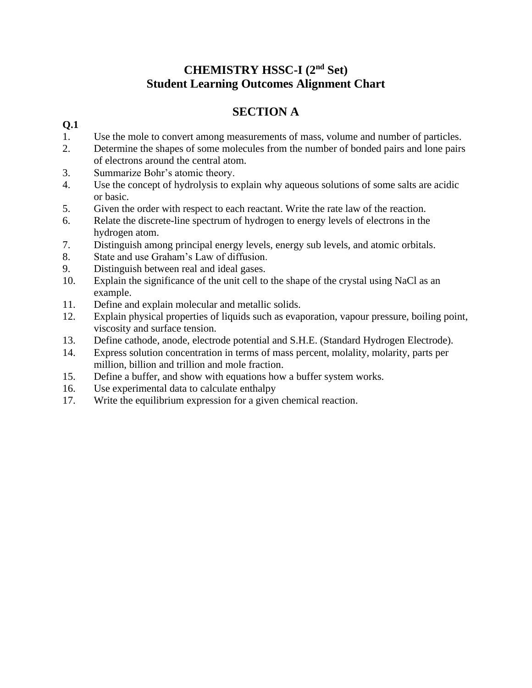# **CHEMISTRY HSSC-I (2nd Set) Student Learning Outcomes Alignment Chart**

# **SECTION A**

### **Q.1**

- 1. Use the mole to convert among measurements of mass, volume and number of particles.
- 2. Determine the shapes of some molecules from the number of bonded pairs and lone pairs of electrons around the central atom.
- 3. Summarize Bohr's atomic theory.
- 4. Use the concept of hydrolysis to explain why aqueous solutions of some salts are acidic or basic.
- 5. Given the order with respect to each reactant. Write the rate law of the reaction.
- 6. Relate the discrete-line spectrum of hydrogen to energy levels of electrons in the hydrogen atom.
- 7. Distinguish among principal energy levels, energy sub levels, and atomic orbitals.
- 8. State and use Graham's Law of diffusion.
- 9. Distinguish between real and ideal gases.
- 10. Explain the significance of the unit cell to the shape of the crystal using NaCl as an example.
- 11. Define and explain molecular and metallic solids.
- 12. Explain physical properties of liquids such as evaporation, vapour pressure, boiling point, viscosity and surface tension.
- 13. Define cathode, anode, electrode potential and S.H.E. (Standard Hydrogen Electrode).
- 14. Express solution concentration in terms of mass percent, molality, molarity, parts per million, billion and trillion and mole fraction.
- 15. Define a buffer, and show with equations how a buffer system works.
- 16. Use experimental data to calculate enthalpy
- 17. Write the equilibrium expression for a given chemical reaction.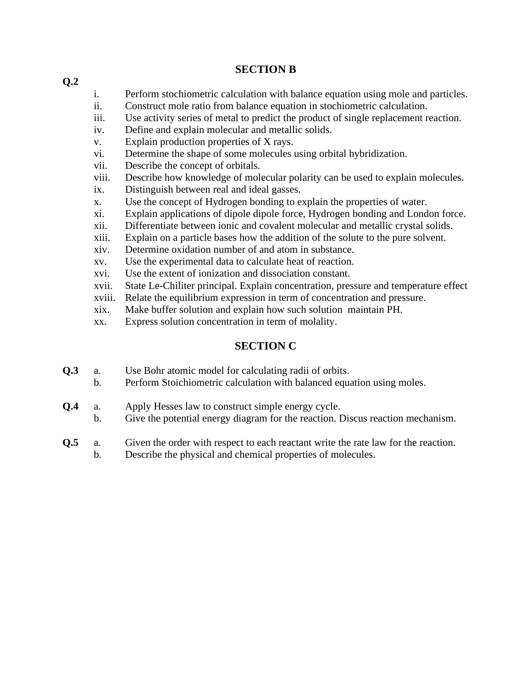#### **SECTION B**

- i. Perform stochiometric calculation with balance equation using mole and particles.
- ii. Construct mole ratio from balance equation in stochiometric calculation.
- iii. Use activity series of metal to predict the product of single replacement reaction.
- iv. Define and explain molecular and metallic solids.
- v. Explain production properties of X rays.
- vi. Determine the shape of some molecules using orbital hybridization.
- vii. Describe the concept of orbitals.
- viii. Describe how knowledge of molecular polarity can be used to explain molecules.
- ix. Distinguish between real and ideal gasses.
- x. Use the concept of Hydrogen bonding to explain the properties of water.
- xi. Explain applications of dipole dipole force, Hydrogen bonding and London force.
- xii. Differentiate between ionic and covalent molecular and metallic crystal solids.
- xiii. Explain on a particle bases how the addition of the solute to the pure solvent.
- xiv. Determine oxidation number of and atom in substance.
- xv. Use the experimental data to calculate heat of reaction.
- xvi. Use the extent of ionization and dissociation constant.
- xvii. State Le-Chiliter principal. Explain concentration, pressure and temperature effect
- xviii. Relate the equilibrium expression in term of concentration and pressure.
- xix. Make buffer solution and explain how such solution maintain PH.
- xx. Express solution concentration in term of molality.

### **SECTION C**

- **Q.3** a. Use Bohr atomic model for calculating radii of orbits.
	- b. Perform Stoichiometric calculation with balanced equation using moles.
- **Q.4** a. Apply Hesses law to construct simple energy cycle.
	- b. Give the potential energy diagram for the reaction. Discus reaction mechanism.
- **Q.5** a. Given the order with respect to each reactant write the rate law for the reaction.
	- b. Describe the physical and chemical properties of molecules.

**Q.2**